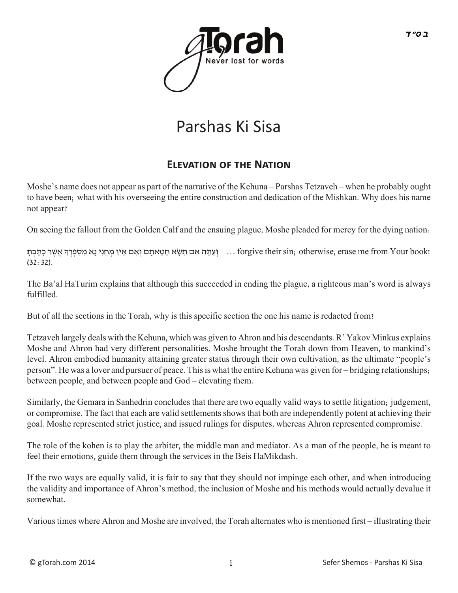

## Parshas Ki Sisa

## **ELEVATION OF THE NATION**

Moshe's name does not appear as part of the narrative of the Kehuna – Parshas Tetzaveh – when he probably ought to have been; what with his overseeing the entire construction and dedication of the Mishkan. Why does his name not appear?

On seeing the fallout from the Golden Calf and the ensuing plague, Moshe pleaded for mercy for the dying nation:

 $-$ וְ עֵתָּה אִם תִּשָׂא חַטָאתָם וְאִם אַיִן מְחֵנִי נַא מִסְפְרְךָּ אֲשֶׁר כָּתַבְתַ ... forgive their sin; otherwise, erase me from Your book! (32:32).

The Ba'al HaTurim explains that although this succeeded in ending the plague, a righteous man's word is always fulfilled.

But of all the sections in the Torah, why is this specific section the one his name is redacted from?

Tetzaveh largely deals with the Kehuna, which was given to Ahron and his descendants. R' Yakov Minkus explains Moshe and Ahron had very different personalities. Moshe brought the Torah down from Heaven, to mankind's level. Ahron embodied humanity attaining greater status through their own cultivation, as the ultimate "people's person". He was a lover and pursuer of peace. This is what the entire Kehuna was given for – bridging relationships; between people, and between people and God – elevating them.

Similarly, the Gemara in Sanhedrin concludes that there are two equally valid ways to settle litigation; judgement, or compromise. The fact that each are valid settlements shows that both are independently potent at achieving their goal. Moshe represented strict justice, and issued rulings for disputes, whereas Ahron represented compromise.

The role of the kohen is to play the arbiter, the middle man and mediator. As a man of the people, he is meant to feel their emotions, guide them through the services in the Beis HaMikdash.

If the two ways are equally valid, it is fair to say that they should not impinge each other, and when introducing the validity and importance of Ahron's method, the inclusion of Moshe and his methods would actually devalue it somewhat.

Various times where Ahron and Moshe are involved, the Torah alternates who is mentioned first – illustrating their